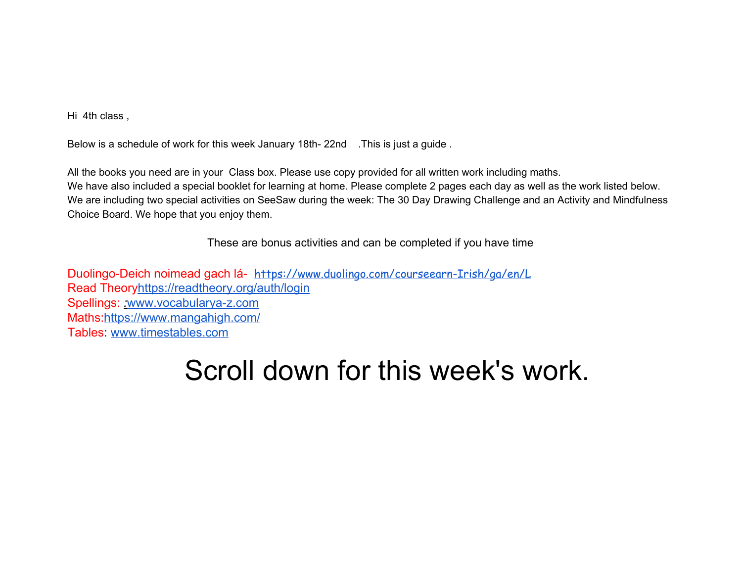Hi 4th class ,

Below is a schedule of work for this week January 18th- 22nd . This is just a guide.

All the books you need are in your Class box. Please use copy provided for all written work including maths. We have also included a special booklet for learning at home. Please complete 2 pages each day as well as the work listed below. We are including two special activities on SeeSaw during the week: The 30 Day Drawing Challenge and an Activity and Mindfulness Choice Board. We hope that you enjoy them.

These are bonus activities and can be completed if you have time

Duolingo-Deich noimead gach lá- [https://www.duolingo.com/courseearn-Irish/ga/en/L](https://www.duolingo.com/course/ga/en/Learn-Irish) Read Theor[yhttps://readtheory.org/auth/login](https://readtheory.org/auth/login) Spellings: [www.vocabularya-z.com](http://www.vocabularya-z.com/) Maths:<https://www.mangahigh.com/> Tables: [www.timestables.com](http://www.timestables.com/)

## Scroll down for this week's work.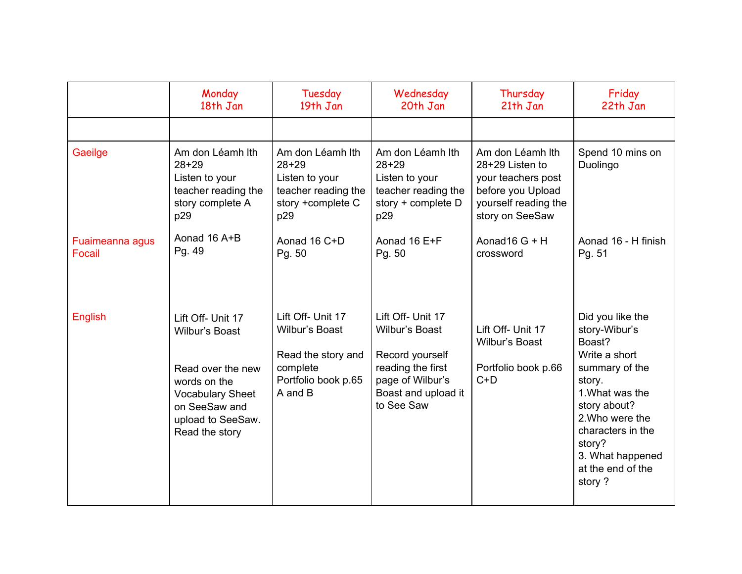|                           | Monday<br>18th Jan                                                                                                                                          | Tuesday<br>19th Jan                                                                                     | Wednesday<br>20th Jan                                                                                                                       | Thursday<br>21th Jan                                                                                                      | Friday<br>22th Jan                                                                                                                                                                                                               |
|---------------------------|-------------------------------------------------------------------------------------------------------------------------------------------------------------|---------------------------------------------------------------------------------------------------------|---------------------------------------------------------------------------------------------------------------------------------------------|---------------------------------------------------------------------------------------------------------------------------|----------------------------------------------------------------------------------------------------------------------------------------------------------------------------------------------------------------------------------|
|                           |                                                                                                                                                             |                                                                                                         |                                                                                                                                             |                                                                                                                           |                                                                                                                                                                                                                                  |
| Gaeilge                   | Am don Léamh lth<br>$28+29$<br>Listen to your<br>teacher reading the<br>story complete A<br>p29                                                             | Am don Léamh Ith<br>$28+29$<br>Listen to your<br>teacher reading the<br>story +complete C<br>p29        | Am don Léamh lth<br>$28 + 29$<br>Listen to your<br>teacher reading the<br>story + complete D<br>p29                                         | Am don Léamh Ith<br>28+29 Listen to<br>your teachers post<br>before you Upload<br>yourself reading the<br>story on SeeSaw | Spend 10 mins on<br>Duolingo                                                                                                                                                                                                     |
| Fuaimeanna agus<br>Focail | Aonad 16 A+B<br>Pg. 49                                                                                                                                      | Aonad 16 C+D<br>Pg. 50                                                                                  | Aonad 16 E+F<br>Pg. 50                                                                                                                      | Aonad16 $G + H$<br>crossword                                                                                              | Aonad 16 - H finish<br>Pg. 51                                                                                                                                                                                                    |
| English                   | Lift Off- Unit 17<br>Wilbur's Boast<br>Read over the new<br>words on the<br><b>Vocabulary Sheet</b><br>on SeeSaw and<br>upload to SeeSaw.<br>Read the story | Lift Off- Unit 17<br>Wilbur's Boast<br>Read the story and<br>complete<br>Portfolio book p.65<br>A and B | Lift Off- Unit 17<br><b>Wilbur's Boast</b><br>Record yourself<br>reading the first<br>page of Wilbur's<br>Boast and upload it<br>to See Saw | Lift Off- Unit 17<br>Wilbur's Boast<br>Portfolio book p.66<br>$C+D$                                                       | Did you like the<br>story-Wibur's<br>Boast?<br>Write a short<br>summary of the<br>story.<br>1. What was the<br>story about?<br>2. Who were the<br>characters in the<br>story?<br>3. What happened<br>at the end of the<br>story? |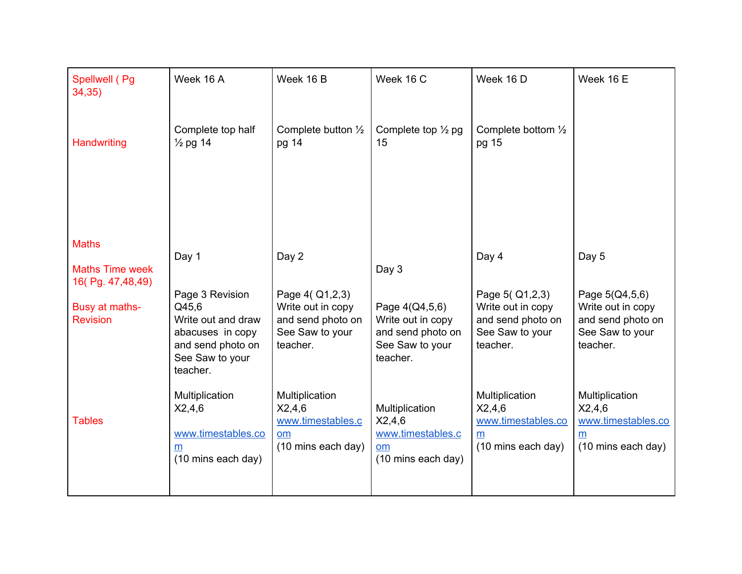| Spellwell (Pg<br>34,35)                                    | Week 16 A                                                                                                              | Week 16 B                                                                               | Week 16 C                                                                               | Week 16 D                                                                               | Week 16 E                                                                               |
|------------------------------------------------------------|------------------------------------------------------------------------------------------------------------------------|-----------------------------------------------------------------------------------------|-----------------------------------------------------------------------------------------|-----------------------------------------------------------------------------------------|-----------------------------------------------------------------------------------------|
| Handwriting                                                | Complete top half<br>$\frac{1}{2}$ pg 14                                                                               | Complete button $\frac{1}{2}$<br>pg 14                                                  | Complete top $\frac{1}{2}$ pg<br>15                                                     | Complete bottom 1/2<br>pg 15                                                            |                                                                                         |
|                                                            |                                                                                                                        |                                                                                         |                                                                                         |                                                                                         |                                                                                         |
| <b>Maths</b><br><b>Maths Time week</b><br>16(Pg. 47,48,49) | Day 1                                                                                                                  | Day 2                                                                                   | Day 3                                                                                   | Day 4                                                                                   | Day 5                                                                                   |
| Busy at maths-<br><b>Revision</b>                          | Page 3 Revision<br>Q45,6<br>Write out and draw<br>abacuses in copy<br>and send photo on<br>See Saw to your<br>teacher. | Page 4(Q1,2,3)<br>Write out in copy<br>and send photo on<br>See Saw to your<br>teacher. | Page 4(Q4,5,6)<br>Write out in copy<br>and send photo on<br>See Saw to your<br>teacher. | Page 5(Q1,2,3)<br>Write out in copy<br>and send photo on<br>See Saw to your<br>teacher. | Page 5(Q4,5,6)<br>Write out in copy<br>and send photo on<br>See Saw to your<br>teacher. |
| <b>Tables</b>                                              | Multiplication<br>X2,4,6<br>www.timestables.co<br>m<br>(10 mins each day)                                              | Multiplication<br>X2,4,6<br>www.timestables.c<br>om<br>(10 mins each day)               | Multiplication<br>X2,4,6<br>www.timestables.c<br>om<br>(10 mins each day)               | Multiplication<br>X2,4,6<br>www.timestables.co<br>m<br>(10 mins each day)               | Multiplication<br>X2,4,6<br>www.timestables.co<br>m<br>(10 mins each day)               |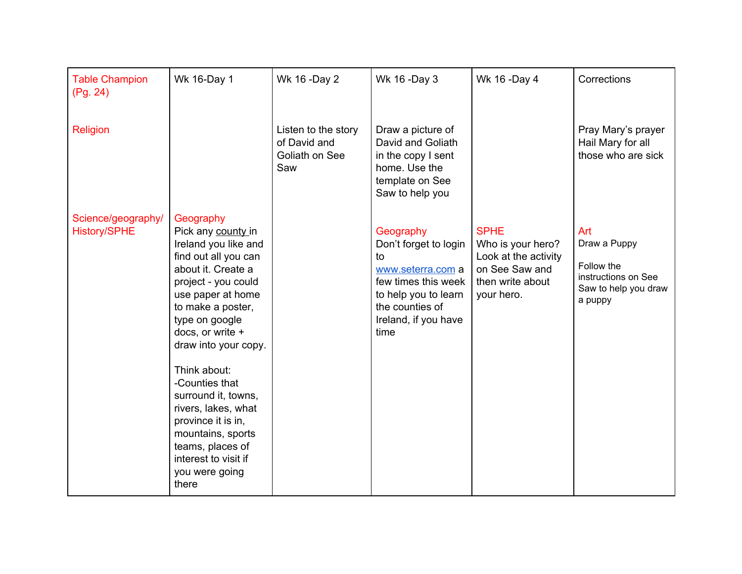| <b>Table Champion</b><br>(Pg. 24)         | Wk 16-Day 1                                                                                                                                                                                                                                                                                                                                                                                                                            | Wk 16 -Day 2                                                 | Wk 16 -Day 3                                                                                                                                                    | Wk 16 -Day 4                                                                                                 | Corrections                                                                                 |
|-------------------------------------------|----------------------------------------------------------------------------------------------------------------------------------------------------------------------------------------------------------------------------------------------------------------------------------------------------------------------------------------------------------------------------------------------------------------------------------------|--------------------------------------------------------------|-----------------------------------------------------------------------------------------------------------------------------------------------------------------|--------------------------------------------------------------------------------------------------------------|---------------------------------------------------------------------------------------------|
| Religion                                  |                                                                                                                                                                                                                                                                                                                                                                                                                                        | Listen to the story<br>of David and<br>Goliath on See<br>Saw | Draw a picture of<br>David and Goliath<br>in the copy I sent<br>home. Use the<br>template on See<br>Saw to help you                                             |                                                                                                              | Pray Mary's prayer<br>Hail Mary for all<br>those who are sick                               |
| Science/geography/<br><b>History/SPHE</b> | Geography<br>Pick any county in<br>Ireland you like and<br>find out all you can<br>about it. Create a<br>project - you could<br>use paper at home<br>to make a poster,<br>type on google<br>docs, or write +<br>draw into your copy.<br>Think about:<br>-Counties that<br>surround it, towns,<br>rivers, lakes, what<br>province it is in,<br>mountains, sports<br>teams, places of<br>interest to visit if<br>you were going<br>there |                                                              | Geography<br>Don't forget to login<br>to<br>www.seterra.com a<br>few times this week<br>to help you to learn<br>the counties of<br>Ireland, if you have<br>time | <b>SPHE</b><br>Who is your hero?<br>Look at the activity<br>on See Saw and<br>then write about<br>your hero. | Art<br>Draw a Puppy<br>Follow the<br>instructions on See<br>Saw to help you draw<br>a puppy |